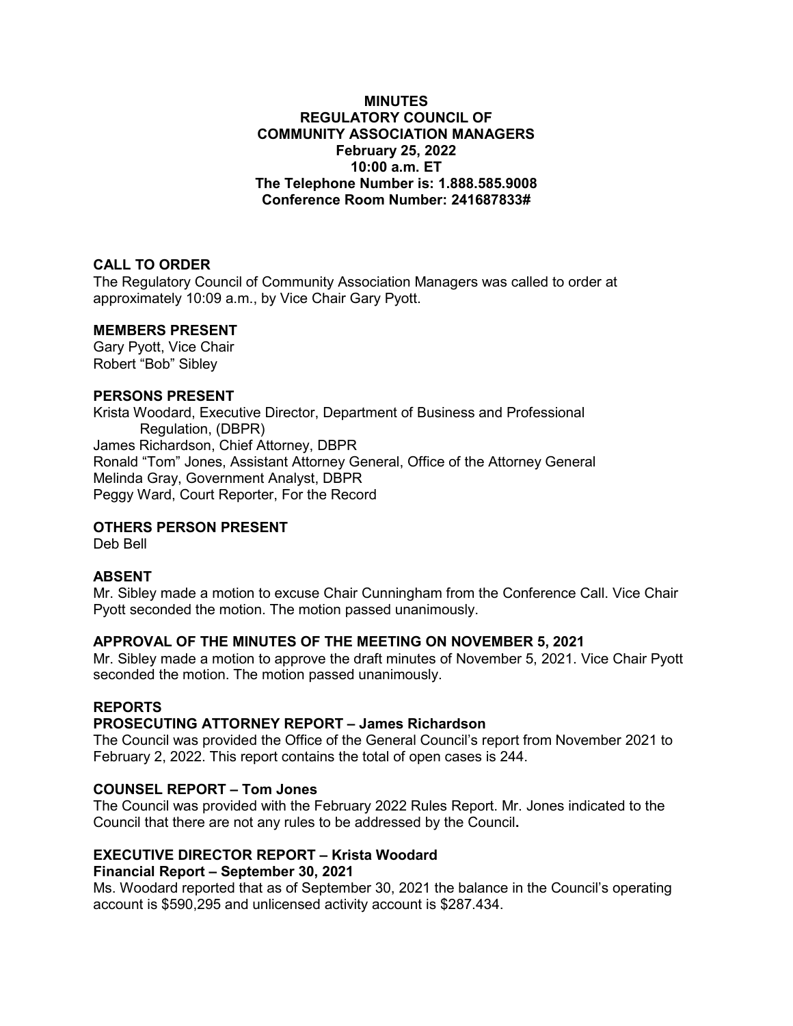#### **MINUTES REGULATORY COUNCIL OF COMMUNITY ASSOCIATION MANAGERS February 25, 2022 10:00 a.m. ET The Telephone Number is: 1.888.585.9008 Conference Room Number: 241687833#**

## **CALL TO ORDER**

The Regulatory Council of Community Association Managers was called to order at approximately 10:09 a.m., by Vice Chair Gary Pyott.

#### **MEMBERS PRESENT**

Gary Pyott, Vice Chair Robert "Bob" Sibley

#### **PERSONS PRESENT**

Krista Woodard, Executive Director, Department of Business and Professional Regulation, (DBPR) James Richardson, Chief Attorney, DBPR Ronald "Tom" Jones, Assistant Attorney General, Office of the Attorney General Melinda Gray, Government Analyst, DBPR Peggy Ward, Court Reporter, For the Record

## **OTHERS PERSON PRESENT**

Deb Bell

## **ABSENT**

Mr. Sibley made a motion to excuse Chair Cunningham from the Conference Call. Vice Chair Pyott seconded the motion. The motion passed unanimously.

## **APPROVAL OF THE MINUTES OF THE MEETING ON NOVEMBER 5, 2021**

Mr. Sibley made a motion to approve the draft minutes of November 5, 2021. Vice Chair Pyott seconded the motion. The motion passed unanimously.

## **REPORTS**

## **PROSECUTING ATTORNEY REPORT – James Richardson**

The Council was provided the Office of the General Council's report from November 2021 to February 2, 2022. This report contains the total of open cases is 244.

## **COUNSEL REPORT – Tom Jones**

The Council was provided with the February 2022 Rules Report. Mr. Jones indicated to the Council that there are not any rules to be addressed by the Council**.**

# **EXECUTIVE DIRECTOR REPORT – Krista Woodard**

## **Financial Report – September 30, 2021**

Ms. Woodard reported that as of September 30, 2021 the balance in the Council's operating account is \$590,295 and unlicensed activity account is \$287.434.